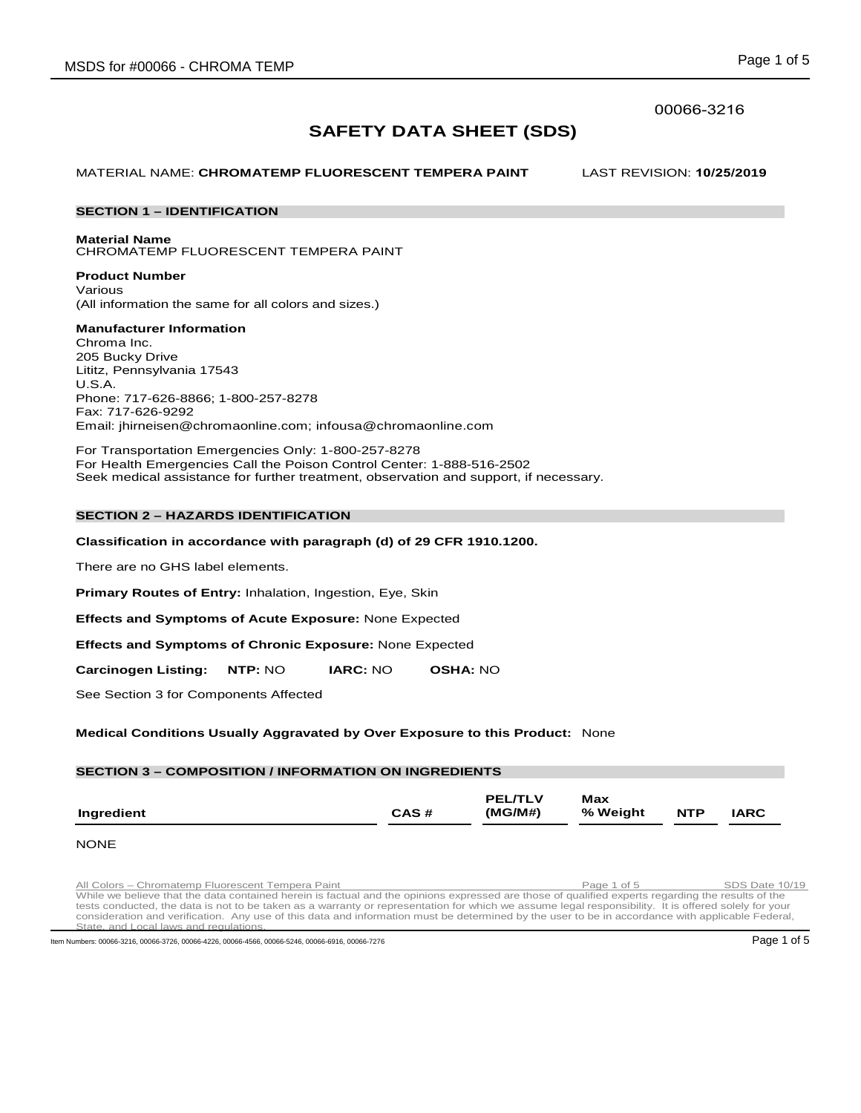# 00066-3216

# **SAFETY DATA SHEET (SDS)**

MATERIAL NAME: **CHROMATEMP FLUORESCENT TEMPERA PAINT** LAST REVISION: **10/25/2019**

# **SECTION 1 – IDENTIFICATION**

**Material Name**

CHROMATEMP FLUORESCENT TEMPERA PAINT

**Product Number** Various (All information the same for all colors and sizes.)

# **Manufacturer Information**

Chroma Inc. 205 Bucky Drive Lititz, Pennsylvania 17543 U.S.A. Phone: 717-626-8866; 1-800-257-8278 Fax: 717-626-9292 Email: jhirneisen@chromaonline.com; infousa@chromaonline.com

For Transportation Emergencies Only: 1-800-257-8278 For Health Emergencies Call the Poison Control Center: 1-888-516-2502 Seek medical assistance for further treatment, observation and support, if necessary.

# **SECTION 2 – HAZARDS IDENTIFICATION**

# **Classification in accordance with paragraph (d) of 29 CFR 1910.1200.**

There are no GHS label elements.

**Primary Routes of Entry:** Inhalation, Ingestion, Eye, Skin

**Effects and Symptoms of Acute Exposure:** None Expected

**Effects and Symptoms of Chronic Exposure:** None Expected

**Carcinogen Listing: NTP:** NO **IARC:** NO **OSHA:** NO

See Section 3 for Components Affected

# **Medical Conditions Usually Aggravated by Over Exposure to this Product:** None

# **SECTION 3 – COMPOSITION / INFORMATION ON INGREDIENTS**

| Ingredient | CAS# | <b>PEL/TLV</b><br>(MG/M#) | <b>Max</b><br>% Weight | <b>NTP</b> | <b>IARC</b> |
|------------|------|---------------------------|------------------------|------------|-------------|
|            |      |                           |                        |            |             |

#### **NONE**

All Colors – Chromatemp Fluorescent Tempera Paint Paint Page 1 of 5 SDS Date 10/19<br>While we believe that the data contained herein is factual and the opinions expressed are those of qualified experts regarding the results tests conducted, the data is not to be taken as a warranty or representation for which we assume legal responsibility. It is offered solely for your<br>consideration and verification. Any use of this data and information must rogulati

Item Numbers: 00066-3216, 00066-3726, 00066-4226, 00066-4566, 00066-5246, 00066-6916, 00066-6916, 00066-7276 Page 1 of 5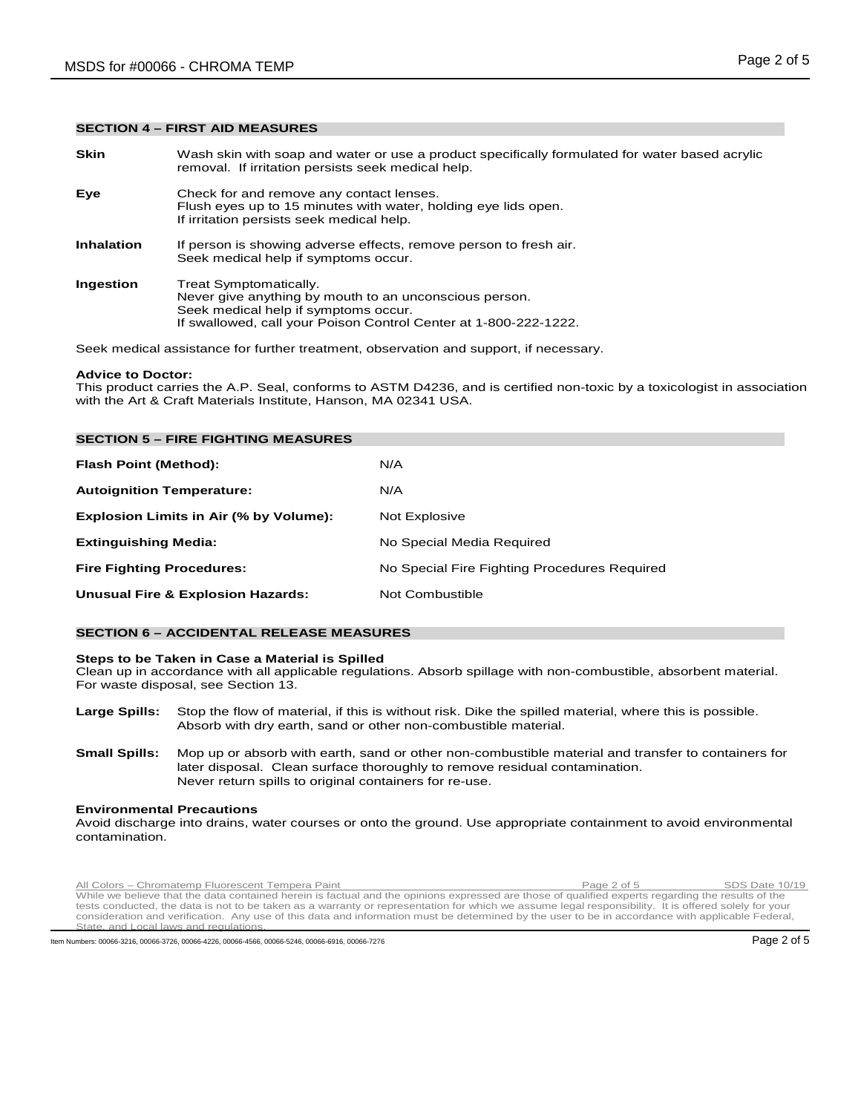#### **SECTION 4 – FIRST AID MEASURES**

**Skin** Wash skin with soap and water or use a product specifically formulated for water based acrylic removal. If irritation persists seek medical help. **Eye** Check for and remove any contact lenses. Flush eyes up to 15 minutes with water, holding eye lids open. If irritation persists seek medical help. **Inhalation** If person is showing adverse effects, remove person to fresh air. Seek medical help if symptoms occur. **Ingestion** Treat Symptomatically. Never give anything by mouth to an unconscious person. Seek medical help if symptoms occur. If swallowed, call your Poison Control Center at 1-800-222-1222.

Seek medical assistance for further treatment, observation and support, if necessary.

#### **Advice to Doctor:**

This product carries the A.P. Seal, conforms to ASTM D4236, and is certified non-toxic by a toxicologist in association with the Art & Craft Materials Institute, Hanson, MA 02341 USA.

| <b>SECTION 5 - FIRE FIGHTING MEASURES</b>    |                                              |
|----------------------------------------------|----------------------------------------------|
| Flash Point (Method):                        | N/A                                          |
| <b>Autoignition Temperature:</b>             | N/A                                          |
| Explosion Limits in Air (% by Volume):       | Not Explosive                                |
| <b>Extinguishing Media:</b>                  | No Special Media Required                    |
| <b>Fire Fighting Procedures:</b>             | No Special Fire Fighting Procedures Required |
| <b>Unusual Fire &amp; Explosion Hazards:</b> | Not Combustible                              |

# **SECTION 6 – ACCIDENTAL RELEASE MEASURES**

#### **Steps to be Taken in Case a Material is Spilled**

Clean up in accordance with all applicable regulations. Absorb spillage with non-combustible, absorbent material. For waste disposal, see Section 13.

- **Large Spills:** Stop the flow of material, if this is without risk. Dike the spilled material, where this is possible. Absorb with dry earth, sand or other non-combustible material.
- **Small Spills:** Mop up or absorb with earth, sand or other non-combustible material and transfer to containers for later disposal. Clean surface thoroughly to remove residual contamination. Never return spills to original containers for re-use.

# **Environmental Precautions**

Avoid discharge into drains, water courses or onto the ground. Use appropriate containment to avoid environmental contamination.

All Colors – Chromatemp Fluorescent Tempera Paint Page 2 of 5 SDS Date 10/19<br>While we believe that the data contained herein is factual and the opinions expressed are those of qualified experts regarding the results of the tests conducted, the data is not to be taken as a warranty or representation for which we assume legal responsibility. It is offered solely for your<br>consideration and verification. Any use of this data and information must State, and Local laws and regulations.

Item Numbers: 00066-3216, 00066-3726, 00066-4226, 00066-4566, 00066-5246, 00066-6916, 00066-7276 Page 2 of 5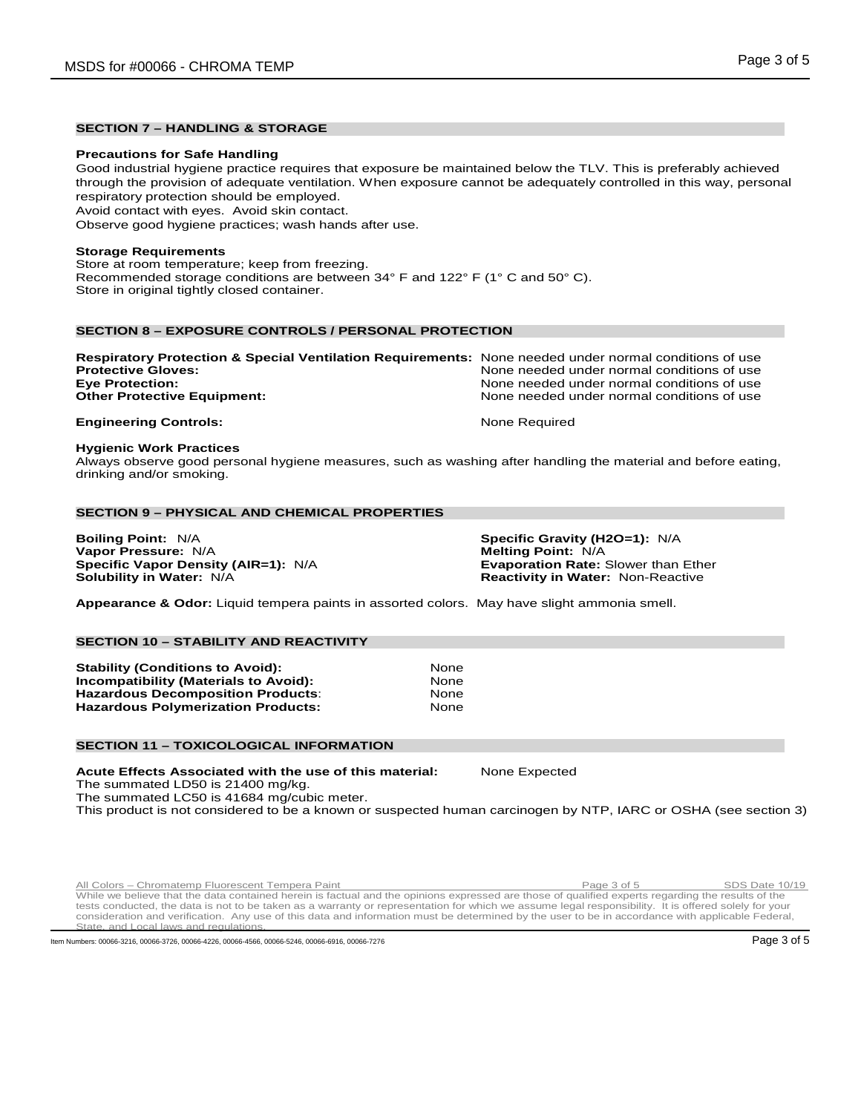# **SECTION 7 – HANDLING & STORAGE**

#### **Precautions for Safe Handling**

Good industrial hygiene practice requires that exposure be maintained below the TLV. This is preferably achieved through the provision of adequate ventilation. When exposure cannot be adequately controlled in this way, personal respiratory protection should be employed.

Avoid contact with eyes. Avoid skin contact.

Observe good hygiene practices; wash hands after use.

# **Storage Requirements**

Store at room temperature; keep from freezing. Recommended storage conditions are between 34° F and 122° F (1° C and 50° C). Store in original tightly closed container.

# **SECTION 8 – EXPOSURE CONTROLS / PERSONAL PROTECTION**

| <b>Respiratory Protection &amp; Special Ventilation Requirements:</b> None needed under normal conditions of use |                                            |
|------------------------------------------------------------------------------------------------------------------|--------------------------------------------|
| <b>Protective Gloves:</b>                                                                                        | None needed under normal conditions of use |
| <b>Eve Protection:</b>                                                                                           | None needed under normal conditions of use |
| <b>Other Protective Equipment:</b>                                                                               | None needed under normal conditions of use |
|                                                                                                                  |                                            |

# **Engineering Controls:** None Required

#### **Hygienic Work Practices**

Always observe good personal hygiene measures, such as washing after handling the material and before eating, drinking and/or smoking.

# **SECTION 9 – PHYSICAL AND CHEMICAL PROPERTIES**

**Boiling Point:** N/A **Specific Gravity (H2O=1):** N/A **Vapor Pressure:** N/A **Melting Point:** N/A **Melting Point:** N/A **Specific Vapor Density (AIR=1):** N/A **Melting Point:** Exaporation Rate: Slower than Ether **Specific Vapor Density (AIR=1): N/A Solubility in Water: N/A** 

**Reactivity in Water: Non-Reactive** 

**Appearance & Odor:** Liquid tempera paints in assorted colors. May have slight ammonia smell.

# **SECTION 10 – STABILITY AND REACTIVITY**

**Stability (Conditions to Avoid):** None **Incompatibility (Materials to Avoid):** None **Hazardous Decomposition Products: The Connect Search Search Products Algebra 2016**<br>**Hazardous Polymerization Products: None Hazardous Polymerization Products:** 

#### **SECTION 11 – TOXICOLOGICAL INFORMATION**

**Acute Effects Associated with the use of this material:** None Expected The summated LD50 is 21400 mg/kg.

The summated LC50 is 41684 mg/cubic meter.

This product is not considered to be a known or suspected human carcinogen by NTP, IARC or OSHA (see section 3)

All Colors – Chromatemp Fluorescent Tempera Paint Page 3 of 5 SDS Date 10/19<br>While we believe that the data contained herein is factual and the opinions expressed are those of qualified experts regarding the results of the tests conducted, the data is not to be taken as a warranty or representation for which we assume legal responsibility. It is offered solely for your consideration and verification. Any use of this data and information must be determined by the user to be in accordance with applicable Federal, State, and Local laws and regulations.

Item Numbers: 00066-3216, 00066-3726, 00066-4226, 00066-4566, 00066-5246, 00066-6916, 00066-7276 Page 3 of 5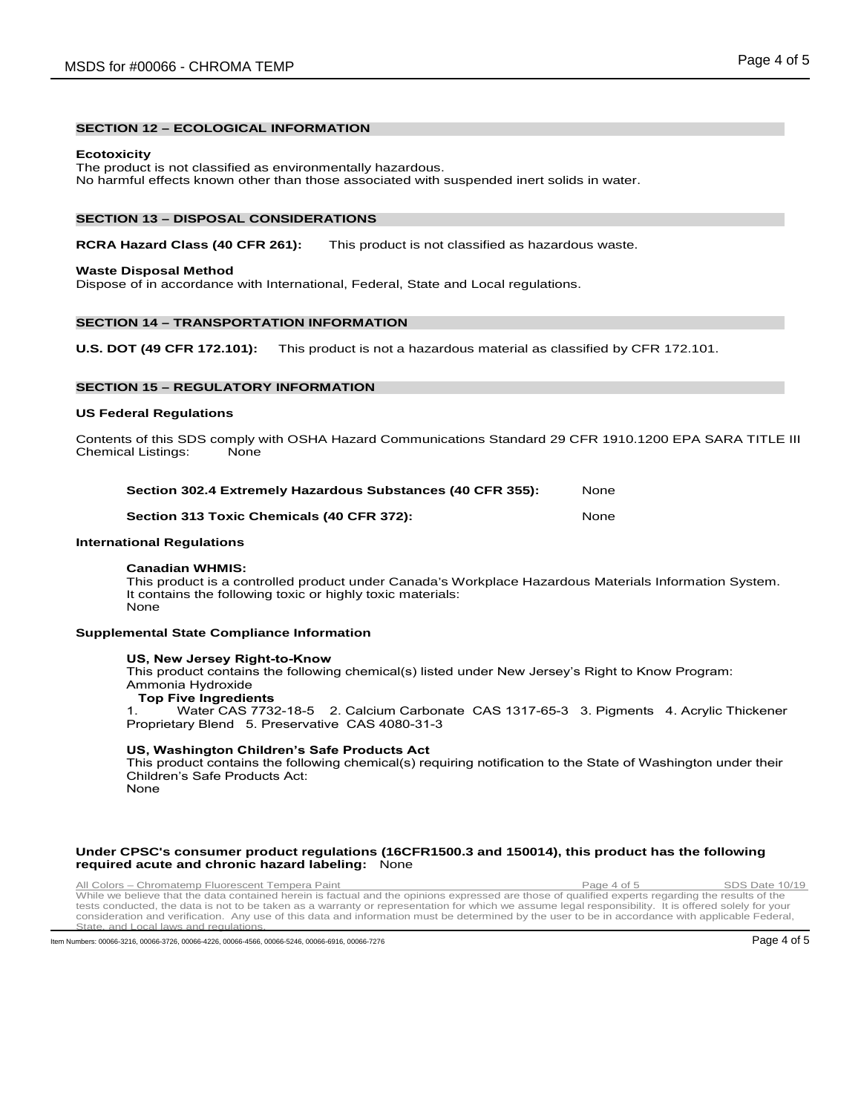# **SECTION 12 – ECOLOGICAL INFORMATION**

#### **Ecotoxicity**

The product is not classified as environmentally hazardous. No harmful effects known other than those associated with suspended inert solids in water.

#### **SECTION 13 – DISPOSAL CONSIDERATIONS**

#### **RCRA Hazard Class (40 CFR 261):** This product is not classified as hazardous waste.

#### **Waste Disposal Method**

Dispose of in accordance with International, Federal, State and Local regulations.

# **SECTION 14 – TRANSPORTATION INFORMATION**

**U.S. DOT (49 CFR 172.101):** This product is not a hazardous material as classified by CFR 172.101.

# **SECTION 15 – REGULATORY INFORMATION**

#### **US Federal Regulations**

Contents of this SDS comply with OSHA Hazard Communications Standard 29 CFR 1910.1200 EPA SARA TITLE III Chemical Listings: None

| Section 302.4 Extremely Hazardous Substances (40 CFR 355): | None |
|------------------------------------------------------------|------|
|                                                            |      |

#### **Section 313 Toxic Chemicals (40 CFR 372):** None

#### **International Regulations**

# **Canadian WHMIS:**

This product is a controlled product under Canada's Workplace Hazardous Materials Information System. It contains the following toxic or highly toxic materials: None

#### **Supplemental State Compliance Information**

#### **US, New Jersey Right-to-Know**

This product contains the following chemical(s) listed under New Jersey's Right to Know Program: Ammonia Hydroxide

# **Top Five Ingredients**<br>**1** Water CAS 7732

Water CAS 7732-18-5 2. Calcium Carbonate CAS 1317-65-3 3. Pigments 4. Acrylic Thickener Proprietary Blend 5. Preservative CAS 4080-31-3

#### **US, Washington Children's Safe Products Act**

This product contains the following chemical(s) requiring notification to the State of Washington under their Children's Safe Products Act: None

# **Under CPSC's consumer product regulations (16CFR1500.3 and 150014), this product has the following**

All Colors – Chromatemp Fluorescent Tempera Paint Page 4 of 5 SDS Date 10/19<br>While we believe that the data contained herein is factual and the opinions expressed are those of qualified experts regarding the results of the tests conducted, the data is not to be taken as a warranty or representation for which we assume legal responsibility. It is offered solely for your consideration and verification. Any use of this data and information must

Item Numbers: 00066-3216, 00066-3726, 00066-4226, 00066-4566, 00066-5246, 00066-6916, 00066-6916, 00066-7276 Page 4 of 5

**required acute and chronic hazard labeling:** None